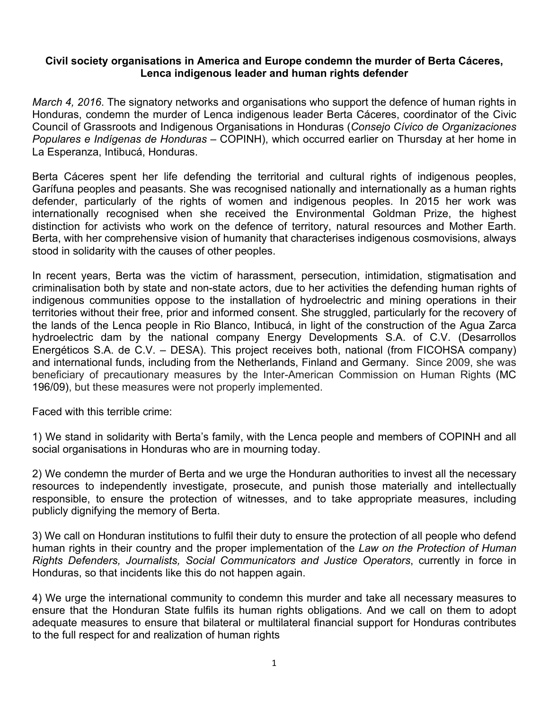## **Civil society organisations in America and Europe condemn the murder of Berta Cáceres, Lenca indigenous leader and human rights defender**

*March 4, 2016*. The signatory networks and organisations who support the defence of human rights in Honduras, condemn the murder of Lenca indigenous leader Berta Cáceres, coordinator of the Civic Council of Grassroots and Indigenous Organisations in Honduras (*Consejo Cívico de Organizaciones Populares e Indígenas de Honduras* – COPINH), which occurred earlier on Thursday at her home in La Esperanza, Intibucá, Honduras.

Berta Cáceres spent her life defending the territorial and cultural rights of indigenous peoples, Garífuna peoples and peasants. She was recognised nationally and internationally as a human rights defender, particularly of the rights of women and indigenous peoples. In 2015 her work was internationally recognised when she received the Environmental Goldman Prize, the highest distinction for activists who work on the defence of territory, natural resources and Mother Earth. Berta, with her comprehensive vision of humanity that characterises indigenous cosmovisions, always stood in solidarity with the causes of other peoples.

In recent years, Berta was the victim of harassment, persecution, intimidation, stigmatisation and criminalisation both by state and non-state actors, due to her activities the defending human rights of indigenous communities oppose to the installation of hydroelectric and mining operations in their territories without their free, prior and informed consent. She struggled, particularly for the recovery of the lands of the Lenca people in Rio Blanco, Intibucá, in light of the construction of the Agua Zarca hydroelectric dam by the national company Energy Developments S.A. of C.V. (Desarrollos Energéticos S.A. de C.V. – DESA). This project receives both, national (from FICOHSA company) and international funds, including from the Netherlands, Finland and Germany. Since 2009, she was beneficiary of precautionary measures by the Inter-American Commission on Human Rights (MC 196/09), but these measures were not properly implemented.

Faced with this terrible crime:

1) We stand in solidarity with Berta's family, with the Lenca people and members of COPINH and all social organisations in Honduras who are in mourning today.

2) We condemn the murder of Berta and we urge the Honduran authorities to invest all the necessary resources to independently investigate, prosecute, and punish those materially and intellectually responsible, to ensure the protection of witnesses, and to take appropriate measures, including publicly dignifying the memory of Berta.

3) We call on Honduran institutions to fulfil their duty to ensure the protection of all people who defend human rights in their country and the proper implementation of the *Law on the Protection of Human Rights Defenders, Journalists, Social Communicators and Justice Operators*, currently in force in Honduras, so that incidents like this do not happen again.

4) We urge the international community to condemn this murder and take all necessary measures to ensure that the Honduran State fulfils its human rights obligations. And we call on them to adopt adequate measures to ensure that bilateral or multilateral financial support for Honduras contributes to the full respect for and realization of human rights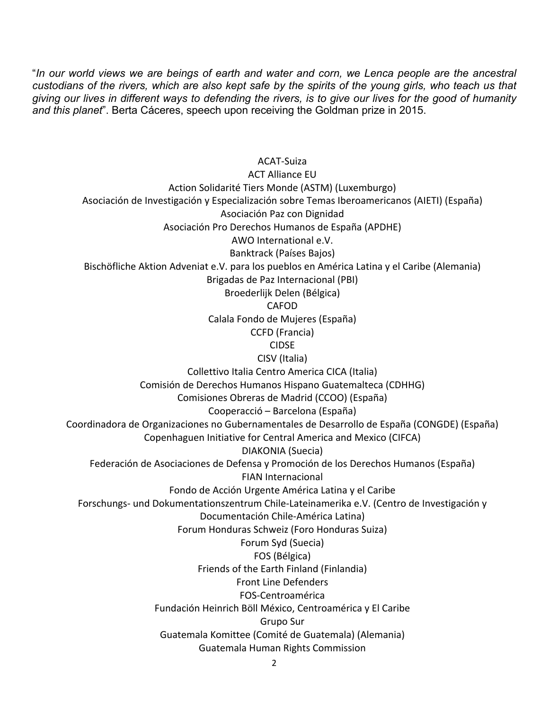"*In our world views we are beings of earth and water and corn, we Lenca people are the ancestral custodians of the rivers, which are also kept safe by the spirits of the young girls, who teach us that giving our lives in different ways to defending the rivers, is to give our lives for the good of humanity and this planet*". Berta Cáceres, speech upon receiving the Goldman prize in 2015.

ACAT-Suiza ACT Alliance EU Action Solidarité Tiers Monde (ASTM) (Luxemburgo) Asociación de Investigación y Especialización sobre Temas Iberoamericanos (AIETI) (España) Asociación Paz con Dignidad Asociación Pro Derechos Humanos de España (APDHE) AWO International e.V. Banktrack (Países Bajos) Bischöfliche Aktion Adveniat e.V. para los pueblos en América Latina y el Caribe (Alemania) Brigadas de Paz Internacional (PBI) Broederlijk Delen (Bélgica) CAFOD Calala Fondo de Mujeres (España) CCFD (Francia) CIDSE CISV (Italia) Collettivo Italia Centro America CICA (Italia) Comisión de Derechos Humanos Hispano Guatemalteca (CDHHG) Comisiones Obreras de Madrid (CCOO) (España) Cooperacció – Barcelona (España) Coordinadora de Organizaciones no Gubernamentales de Desarrollo de España (CONGDE) (España) Copenhaguen Initiative for Central America and Mexico (CIFCA) DIAKONIA (Suecia) Federación de Asociaciones de Defensa y Promoción de los Derechos Humanos (España) FIAN Internacional Fondo de Acción Urgente América Latina y el Caribe Forschungs- und Dokumentationszentrum Chile-Lateinamerika e.V. (Centro de Investigación y Documentación Chile-América Latina) Forum Honduras Schweiz (Foro Honduras Suiza) Forum Syd (Suecia) FOS (Bélgica) Friends of the Earth Finland (Finlandia) Front Line Defenders FOS-Centroamérica Fundación Heinrich Böll México, Centroamérica y El Caribe Grupo Sur Guatemala Komittee (Comité de Guatemala) (Alemania) Guatemala Human Rights Commission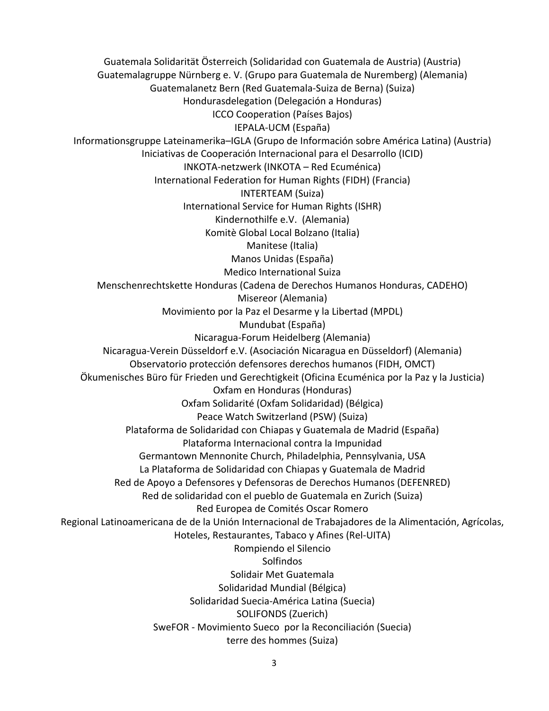Guatemala Solidarität Österreich (Solidaridad con Guatemala de Austria) (Austria) Guatemalagruppe Nürnberg e. V. (Grupo para Guatemala de Nuremberg) (Alemania) Guatemalanetz Bern (Red Guatemala-Suiza de Berna) (Suiza) Hondurasdelegation (Delegación a Honduras) ICCO Cooperation (Países Bajos) IEPALA-UCM (España) Informationsgruppe Lateinamerika-IGLA (Grupo de Información sobre América Latina) (Austria) Iniciativas de Cooperación Internacional para el Desarrollo (ICID) INKOTA-netzwerk (INKOTA – Red Ecuménica) International Federation for Human Rights (FIDH) (Francia) INTERTEAM (Suiza) International Service for Human Rights (ISHR) Kindernothilfe e.V. (Alemania) Komitè Global Local Bolzano (Italia) Manitese (Italia) Manos Unidas (España) Medico International Suiza Menschenrechtskette Honduras (Cadena de Derechos Humanos Honduras, CADEHO) Misereor (Alemania) Movimiento por la Paz el Desarme y la Libertad (MPDL) Mundubat (España) Nicaragua-Forum Heidelberg (Alemania) Nicaragua-Verein Düsseldorf e.V. (Asociación Nicaragua en Düsseldorf) (Alemania) Observatorio protección defensores derechos humanos (FIDH, OMCT) Ökumenisches Büro für Frieden und Gerechtigkeit (Oficina Ecuménica por la Paz y la Justicia) Oxfam en Honduras (Honduras) Oxfam Solidarité (Oxfam Solidaridad) (Bélgica) Peace Watch Switzerland (PSW) (Suiza) Plataforma de Solidaridad con Chiapas y Guatemala de Madrid (España) Plataforma Internacional contra la Impunidad Germantown Mennonite Church, Philadelphia, Pennsylvania, USA La Plataforma de Solidaridad con Chiapas y Guatemala de Madrid Red de Apoyo a Defensores y Defensoras de Derechos Humanos (DEFENRED) Red de solidaridad con el pueblo de Guatemala en Zurich (Suiza) Red Europea de Comités Oscar Romero Regional Latinoamericana de de la Unión Internacional de Trabajadores de la Alimentación, Agrícolas, Hoteles, Restaurantes, Tabaco y Afines (Rel-UITA) Rompiendo el Silencio Solfindos Solidair Met Guatemala Solidaridad Mundial (Bélgica) Solidaridad Suecia-América Latina (Suecia) SOLIFONDS (Zuerich) SweFOR - Movimiento Sueco por la Reconciliación (Suecia) terre des hommes (Suiza)